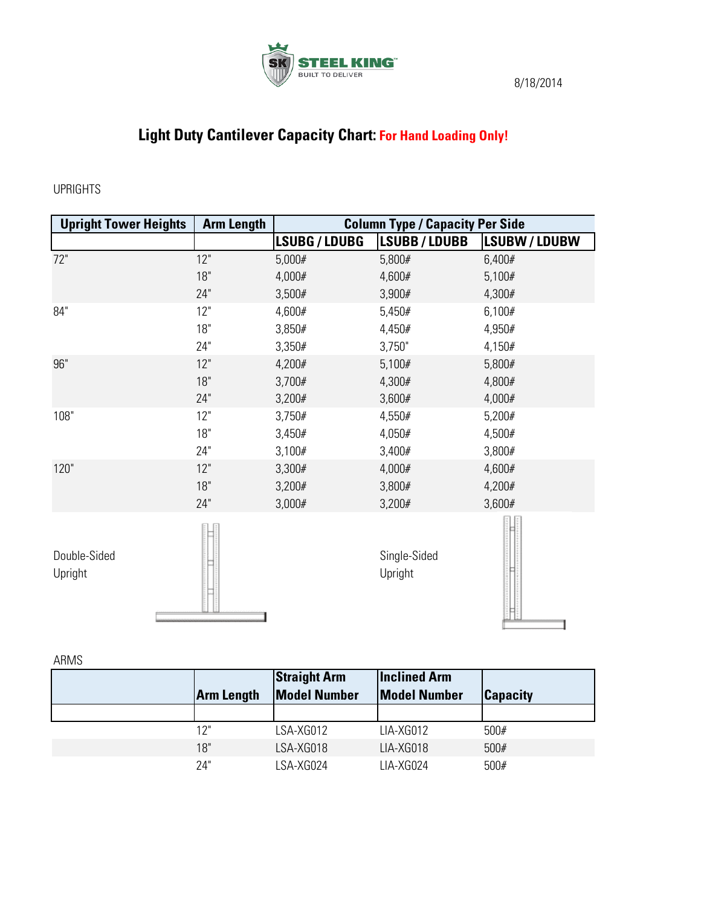

## **Light Duty Cantilever Capacity Chart: For Hand Loading Only!**

## UPRIGHTS

| <b>Upright Tower Heights</b> | <b>Arm Length</b> | <b>Column Type / Capacity Per Side</b> |                         |                    |
|------------------------------|-------------------|----------------------------------------|-------------------------|--------------------|
|                              |                   | <b>LSUBG / LDUBG</b>                   | <b>LSUBB / LDUBB</b>    | <b>LSUBW/LDUBW</b> |
| 72"                          | 12"               | 5,000#                                 | 5,800#                  | 6,400#             |
|                              | 18"               | 4,000#                                 | 4,600#                  | 5,100#             |
|                              | 24"               | 3,500#                                 | 3,900#                  | 4,300#             |
| 84"                          | 12"               | 4,600#                                 | 5,450#                  | 6,100#             |
|                              | 18"               | 3,850#                                 | 4,450#                  | 4,950#             |
|                              | 24"               | 3,350#                                 | 3,750"                  | 4,150#             |
| 96"                          | 12"               | 4,200#                                 | 5,100#                  | 5,800#             |
|                              | 18"               | 3,700#                                 | 4,300#                  | 4,800#             |
|                              | 24"               | 3,200#                                 | 3,600#                  | 4,000#             |
| 108"                         | 12"               | 3,750#                                 | 4,550#                  | 5,200#             |
|                              | 18"               | 3,450#                                 | 4,050#                  | 4,500#             |
|                              | 24"               | 3,100#                                 | 3,400#                  | 3,800#             |
| 120"                         | 12"               | 3,300#                                 | 4,000#                  | 4,600#             |
|                              | 18"               | 3,200#                                 | 3,800#                  | 4,200#             |
|                              | 24"               | 3,000#                                 | 3,200#                  | 3,600#             |
| Double-Sided<br>Upright      |                   |                                        | Single-Sided<br>Upright |                    |

ARMS

| <b>Arm Length</b> | <b>Straight Arm</b><br><b>Model Number</b> | <b>Inclined Arm</b><br><b>Model Number</b> | <b>Capacity</b> |
|-------------------|--------------------------------------------|--------------------------------------------|-----------------|
|                   |                                            |                                            |                 |
| 12"               | LSA-XG012                                  | LIA-XG012                                  | 500#            |
| 18"               | LSA-XG018                                  | LIA-XG018                                  | 500#            |
| 74"               | LSA-XG024                                  | LIA-XG024                                  | 500#            |